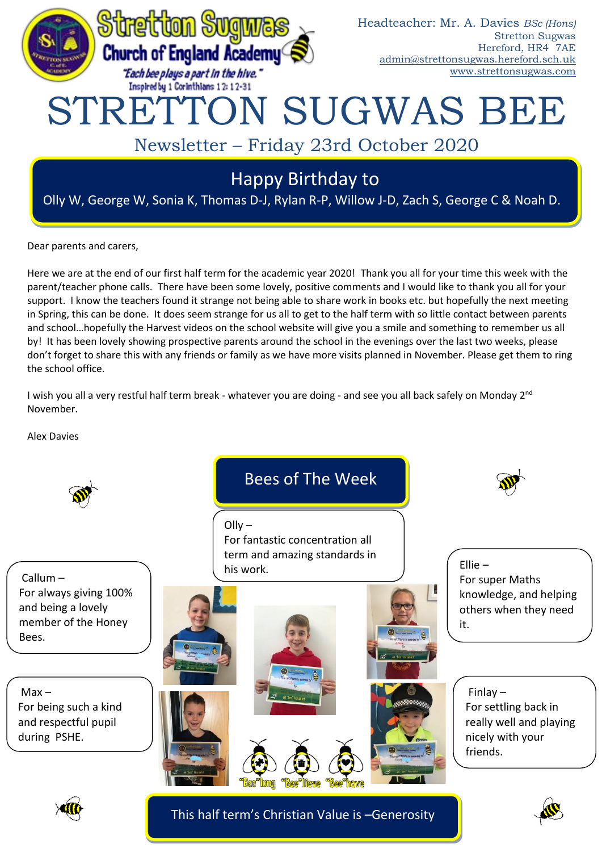

Dear parents and carers,

Here we are at the end of our first half term for the academic year 2020! Thank you all for your time this week with the parent/teacher phone calls. There have been some lovely, positive comments and I would like to thank you all for your support. I know the teachers found it strange not being able to share work in books etc. but hopefully the next meeting in Spring, this can be done. It does seem strange for us all to get to the half term with so little contact between parents and school…hopefully the Harvest videos on the school website will give you a smile and something to remember us all by! It has been lovely showing prospective parents around the school in the evenings over the last two weeks, please don't forget to share this with any friends or family as we have more visits planned in November. Please get them to ring the school office.

I wish you all a very restful half term break - whatever you are doing - and see you all back safely on Monday 2<sup>nd</sup> November.

Alex Davies



This half term's Christian Value is –Generosity